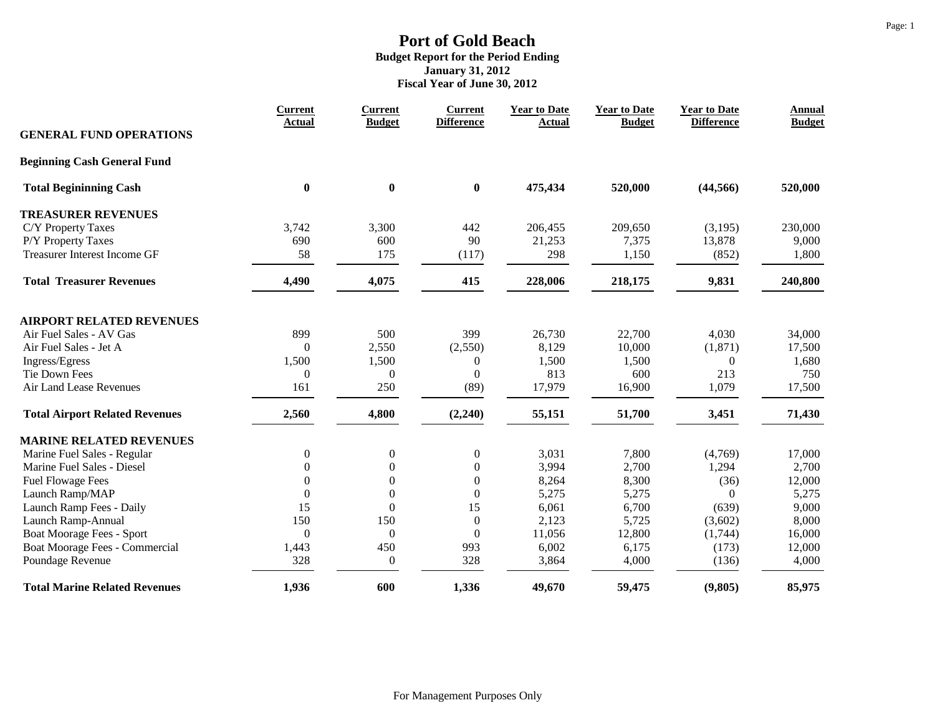|                                       | <b>Current</b><br><b>Actual</b> | <b>Current</b><br><b>Budget</b> | <b>Current</b><br><b>Difference</b> | <b>Year to Date</b><br><b>Actual</b> | <b>Year to Date</b><br><b>Budget</b> | <b>Year to Date</b><br><b>Difference</b> | <b>Annual</b><br><b>Budget</b> |
|---------------------------------------|---------------------------------|---------------------------------|-------------------------------------|--------------------------------------|--------------------------------------|------------------------------------------|--------------------------------|
| <b>GENERAL FUND OPERATIONS</b>        |                                 |                                 |                                     |                                      |                                      |                                          |                                |
| <b>Beginning Cash General Fund</b>    |                                 |                                 |                                     |                                      |                                      |                                          |                                |
| <b>Total Begininning Cash</b>         | $\bf{0}$                        | $\bf{0}$                        | $\boldsymbol{0}$                    | 475,434                              | 520,000                              | (44, 566)                                | 520,000                        |
| <b>TREASURER REVENUES</b>             |                                 |                                 |                                     |                                      |                                      |                                          |                                |
| C/Y Property Taxes                    | 3,742                           | 3,300                           | 442                                 | 206,455                              | 209,650                              | (3,195)                                  | 230,000                        |
| P/Y Property Taxes                    | 690                             | 600                             | 90                                  | 21,253                               | 7,375                                | 13,878                                   | 9,000                          |
| <b>Treasurer Interest Income GF</b>   | 58                              | 175                             | (117)                               | 298                                  | 1,150                                | (852)                                    | 1,800                          |
| <b>Total Treasurer Revenues</b>       | 4,490                           | 4,075                           | 415                                 | 228,006                              | 218,175                              | 9,831                                    | 240,800                        |
| <b>AIRPORT RELATED REVENUES</b>       |                                 |                                 |                                     |                                      |                                      |                                          |                                |
| Air Fuel Sales - AV Gas               | 899                             | 500                             | 399                                 | 26,730                               | 22,700                               | 4,030                                    | 34,000                         |
| Air Fuel Sales - Jet A                | $\theta$                        | 2,550                           | (2,550)                             | 8,129                                | 10,000                               | (1, 871)                                 | 17,500                         |
| Ingress/Egress                        | 1,500                           | 1,500                           | $\boldsymbol{0}$                    | 1,500                                | 1,500                                | $\theta$                                 | 1,680                          |
| Tie Down Fees                         | $\Omega$                        | $\mathbf{0}$                    | $\boldsymbol{0}$                    | 813                                  | 600                                  | 213                                      | 750                            |
| Air Land Lease Revenues               | 161                             | 250                             | (89)                                | 17,979                               | 16,900                               | 1,079                                    | 17,500                         |
| <b>Total Airport Related Revenues</b> | 2,560                           | 4,800                           | (2,240)                             | 55,151                               | 51,700                               | 3,451                                    | 71,430                         |
| <b>MARINE RELATED REVENUES</b>        |                                 |                                 |                                     |                                      |                                      |                                          |                                |
| Marine Fuel Sales - Regular           | $\overline{0}$                  | $\boldsymbol{0}$                | $\boldsymbol{0}$                    | 3,031                                | 7,800                                | (4,769)                                  | 17,000                         |
| Marine Fuel Sales - Diesel            | $\boldsymbol{0}$                | $\boldsymbol{0}$                | $\boldsymbol{0}$                    | 3,994                                | 2,700                                | 1,294                                    | 2,700                          |
| <b>Fuel Flowage Fees</b>              | $\overline{0}$                  | $\boldsymbol{0}$                | $\boldsymbol{0}$                    | 8,264                                | 8,300                                | (36)                                     | 12,000                         |
| Launch Ramp/MAP                       | $\theta$                        | $\boldsymbol{0}$                | $\boldsymbol{0}$                    | 5,275                                | 5,275                                | $\Omega$                                 | 5,275                          |
| Launch Ramp Fees - Daily              | 15                              | $\mathbf{0}$                    | 15                                  | 6,061                                | 6,700                                | (639)                                    | 9,000                          |
| Launch Ramp-Annual                    | 150                             | 150                             | $\mathbf{0}$                        | 2,123                                | 5,725                                | (3,602)                                  | 8,000                          |
| Boat Moorage Fees - Sport             | $\Omega$                        | $\boldsymbol{0}$                | $\mathbf{0}$                        | 11,056                               | 12,800                               | (1,744)                                  | 16,000                         |
| Boat Moorage Fees - Commercial        | 1,443                           | 450                             | 993                                 | 6,002                                | 6,175                                | (173)                                    | 12,000                         |
| Poundage Revenue                      | 328                             | $\boldsymbol{0}$                | 328                                 | 3,864                                | 4,000                                | (136)                                    | 4,000                          |
| <b>Total Marine Related Revenues</b>  | 1,936                           | 600                             | 1,336                               | 49,670                               | 59,475                               | (9, 805)                                 | 85,975                         |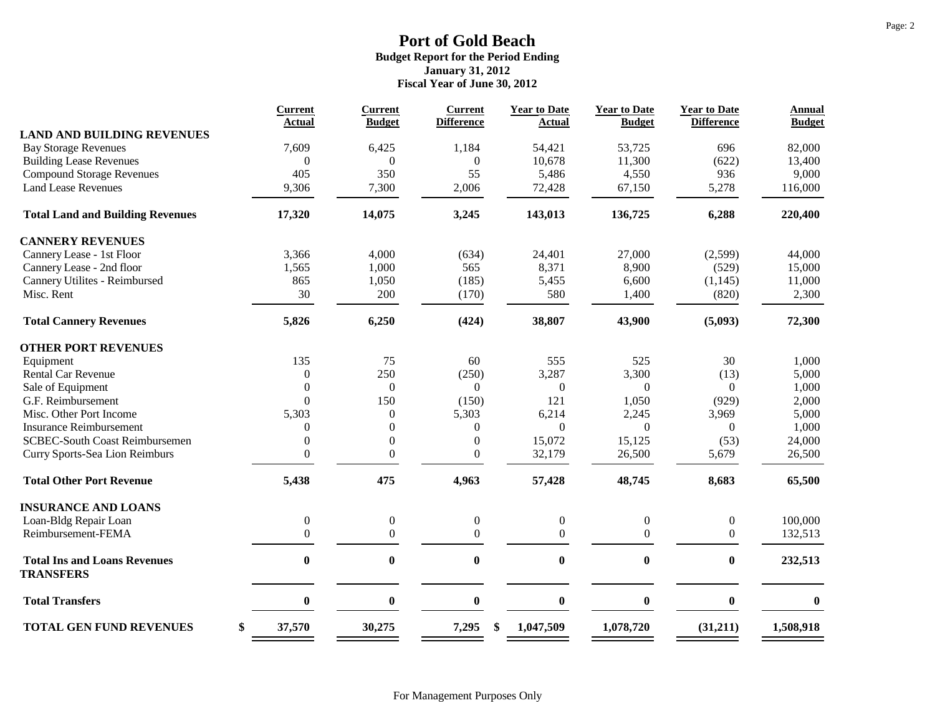|                                                         | <b>Current</b>   | <b>Current</b>   | <b>Current</b>    | <b>Year to Date</b> | <b>Year to Date</b> | <b>Year to Date</b><br><b>Difference</b> | <b>Annual</b> |
|---------------------------------------------------------|------------------|------------------|-------------------|---------------------|---------------------|------------------------------------------|---------------|
| <b>LAND AND BUILDING REVENUES</b>                       | <b>Actual</b>    | <b>Budget</b>    | <b>Difference</b> | <b>Actual</b>       | <b>Budget</b>       |                                          | <b>Budget</b> |
| <b>Bay Storage Revenues</b>                             | 7,609            | 6,425            | 1,184             | 54,421              | 53,725              | 696                                      | 82,000        |
| <b>Building Lease Revenues</b>                          | $\theta$         | $\overline{0}$   | $\mathbf{0}$      | 10,678              | 11,300              | (622)                                    | 13,400        |
| <b>Compound Storage Revenues</b>                        | 405              | 350              | 55                | 5,486               | 4,550               | 936                                      | 9,000         |
| <b>Land Lease Revenues</b>                              | 9,306            | 7,300            | 2,006             | 72,428              | 67,150              | 5,278                                    | 116,000       |
| <b>Total Land and Building Revenues</b>                 | 17,320           | 14,075           | 3,245             | 143,013             | 136,725             | 6,288                                    | 220,400       |
| <b>CANNERY REVENUES</b>                                 |                  |                  |                   |                     |                     |                                          |               |
| Cannery Lease - 1st Floor                               | 3,366            | 4,000            | (634)             | 24,401              | 27,000              | (2,599)                                  | 44,000        |
| Cannery Lease - 2nd floor                               | 1,565            | 1,000            | 565               | 8,371               | 8,900               | (529)                                    | 15,000        |
| Cannery Utilites - Reimbursed                           | 865              | 1,050            | (185)             | 5,455               | 6,600               | (1, 145)                                 | 11,000        |
| Misc. Rent                                              | 30               | 200              | (170)             | 580                 | 1,400               | (820)                                    | 2,300         |
| <b>Total Cannery Revenues</b>                           | 5,826            | 6,250            | (424)             | 38,807              | 43,900              | (5,093)                                  | 72,300        |
| <b>OTHER PORT REVENUES</b>                              |                  |                  |                   |                     |                     |                                          |               |
| Equipment                                               | 135              | 75               | 60                | 555                 | 525                 | 30                                       | 1,000         |
| <b>Rental Car Revenue</b>                               | $\boldsymbol{0}$ | 250              | (250)             | 3,287               | 3,300               | (13)                                     | 5,000         |
| Sale of Equipment                                       | $\theta$         | $\mathbf{0}$     | $\theta$          | $\mathbf{0}$        | $\Omega$            | $\Omega$                                 | 1,000         |
| G.F. Reimbursement                                      | $\theta$         | 150              | (150)             | 121                 | 1,050               | (929)                                    | 2,000         |
| Misc. Other Port Income                                 | 5,303            | $\boldsymbol{0}$ | 5,303             | 6,214               | 2,245               | 3,969                                    | 5,000         |
| <b>Insurance Reimbursement</b>                          | $\overline{0}$   | $\boldsymbol{0}$ | $\mathbf{0}$      | $\Omega$            | $\Omega$            | $\Omega$                                 | 1,000         |
| <b>SCBEC-South Coast Reimbursemen</b>                   | $\overline{0}$   | $\boldsymbol{0}$ | $\mathbf{0}$      | 15,072              | 15,125              | (53)                                     | 24,000        |
| Curry Sports-Sea Lion Reimburs                          | $\Omega$         | $\overline{0}$   | $\mathbf{0}$      | 32,179              | 26,500              | 5,679                                    | 26,500        |
| <b>Total Other Port Revenue</b>                         | 5,438            | 475              | 4,963             | 57,428              | 48,745              | 8,683                                    | 65,500        |
| <b>INSURANCE AND LOANS</b>                              |                  |                  |                   |                     |                     |                                          |               |
| Loan-Bldg Repair Loan                                   | $\boldsymbol{0}$ | $\boldsymbol{0}$ | $\boldsymbol{0}$  | 0                   | $\boldsymbol{0}$    | $\boldsymbol{0}$                         | 100,000       |
| Reimbursement-FEMA                                      | $\overline{0}$   | $\overline{0}$   | $\mathbf{0}$      | $\overline{0}$      | $\mathbf{0}$        | 0                                        | 132,513       |
| <b>Total Ins and Loans Revenues</b><br><b>TRANSFERS</b> | $\bf{0}$         | $\boldsymbol{0}$ | $\bf{0}$          | $\boldsymbol{0}$    | $\bf{0}$            | 0                                        | 232,513       |
| <b>Total Transfers</b>                                  | $\bf{0}$         | $\boldsymbol{0}$ | $\mathbf{0}$      | $\bf{0}$            | $\bf{0}$            | $\bf{0}$                                 | $\bf{0}$      |
| <b>TOTAL GEN FUND REVENUES</b>                          | \$<br>37,570     | 30,275           | 7,295<br>\$       | 1,047,509           | 1,078,720           | (31,211)                                 | 1,508,918     |
|                                                         |                  |                  |                   |                     |                     |                                          |               |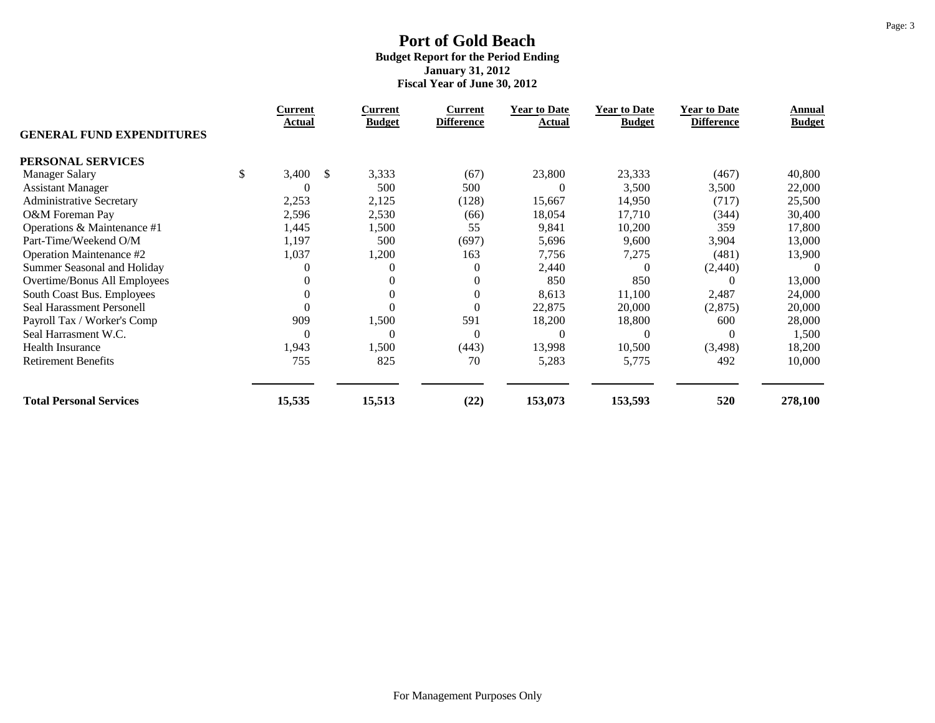|                                  | <b>Current</b> |               | Current       | <b>Current</b>    | <b>Year to Date</b> | <b>Year to Date</b> | <b>Year to Date</b> | Annual        |
|----------------------------------|----------------|---------------|---------------|-------------------|---------------------|---------------------|---------------------|---------------|
| <b>GENERAL FUND EXPENDITURES</b> | Actual         |               | <b>Budget</b> | <b>Difference</b> | <b>Actual</b>       | <b>Budget</b>       | <b>Difference</b>   | <b>Budget</b> |
| PERSONAL SERVICES                |                |               |               |                   |                     |                     |                     |               |
| <b>Manager Salary</b>            | \$<br>3,400    | <sup>\$</sup> | 3,333         | (67)              | 23,800              | 23,333              | (467)               | 40,800        |
| <b>Assistant Manager</b>         | $\theta$       |               | 500           | 500               |                     | 3,500               | 3,500               | 22,000        |
| <b>Administrative Secretary</b>  | 2,253          |               | 2,125         | (128)             | 15,667              | 14,950              | (717)               | 25,500        |
| O&M Foreman Pay                  | 2,596          |               | 2,530         | (66)              | 18,054              | 17,710              | (344)               | 30,400        |
| Operations & Maintenance #1      | 1,445          |               | 1,500         | 55                | 9,841               | 10,200              | 359                 | 17,800        |
| Part-Time/Weekend O/M            | 1,197          |               | 500           | (697)             | 5,696               | 9,600               | 3,904               | 13,000        |
| Operation Maintenance #2         | 1,037          |               | 1,200         | 163               | 7,756               | 7,275               | (481)               | 13,900        |
| Summer Seasonal and Holiday      | 0              |               | $\Omega$      | $\overline{0}$    | 2,440               | $\theta$            | (2,440)             | $\theta$      |
| Overtime/Bonus All Employees     | $\theta$       |               | $\Omega$      | $\mathbf{0}$      | 850                 | 850                 |                     | 13,000        |
| South Coast Bus. Employees       | $\theta$       |               | $\Omega$      | $\overline{0}$    | 8,613               | 11,100              | 2,487               | 24,000        |
| Seal Harassment Personell        | $\Omega$       |               |               | $\boldsymbol{0}$  | 22,875              | 20,000              | (2,875)             | 20,000        |
| Payroll Tax / Worker's Comp      | 909            |               | 1,500         | 591               | 18,200              | 18,800              | 600                 | 28,000        |
| Seal Harrasment W.C.             | $\theta$       |               | $\Omega$      | $\Omega$          | 0                   |                     | $\Omega$            | 1,500         |
| Health Insurance                 | 1,943          |               | 1,500         | (443)             | 13,998              | 10,500              | (3,498)             | 18,200        |
| <b>Retirement Benefits</b>       | 755            |               | 825           | 70                | 5,283               | 5,775               | 492                 | 10,000        |
| <b>Total Personal Services</b>   | 15,535         |               | 15,513        | (22)              | 153,073             | 153,593             | 520                 | 278,100       |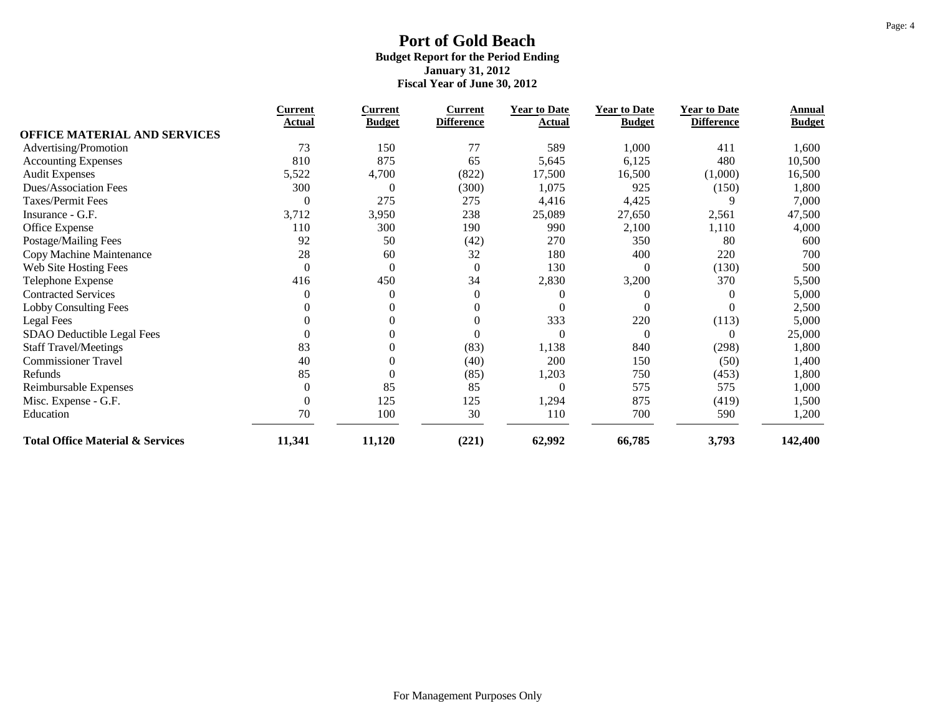|                                             | <b>Current</b>   | <b>Current</b>   | <b>Current</b>    | <b>Year to Date</b> | <b>Year to Date</b> | <b>Year to Date</b> | Annual        |
|---------------------------------------------|------------------|------------------|-------------------|---------------------|---------------------|---------------------|---------------|
| <b>OFFICE MATERIAL AND SERVICES</b>         | Actual           | <b>Budget</b>    | <b>Difference</b> | Actual              | <b>Budget</b>       | <b>Difference</b>   | <b>Budget</b> |
| Advertising/Promotion                       | 73               | 150              | 77                | 589                 | 1,000               | 411                 | 1,600         |
|                                             | 810              | 875              | 65                | 5,645               | 6,125               | 480                 | 10,500        |
| <b>Accounting Expenses</b>                  |                  |                  |                   |                     |                     |                     |               |
| <b>Audit Expenses</b>                       | 5,522            | 4,700            | (822)             | 17,500              | 16,500              | (1,000)             | 16,500        |
| Dues/Association Fees                       | 300              | $\theta$         | (300)             | 1,075               | 925                 | (150)               | 1,800         |
| Taxes/Permit Fees                           | $\theta$         | 275              | 275               | 4,416               | 4,425               |                     | 7,000         |
| Insurance - G.F.                            | 3,712            | 3,950            | 238               | 25,089              | 27,650              | 2,561               | 47,500        |
| Office Expense                              | 110              | 300              | 190               | 990                 | 2,100               | 1,110               | 4,000         |
| Postage/Mailing Fees                        | 92               | 50               | (42)              | 270                 | 350                 | 80                  | 600           |
| Copy Machine Maintenance                    | 28               | 60               | 32                | 180                 | 400                 | 220                 | 700           |
| Web Site Hosting Fees                       | $\overline{0}$   | $\boldsymbol{0}$ | $\boldsymbol{0}$  | 130                 | $\Omega$            | (130)               | 500           |
| Telephone Expense                           | 416              | 450              | 34                | 2,830               | 3,200               | 370                 | 5,500         |
| <b>Contracted Services</b>                  | $\theta$         | $\theta$         | $\boldsymbol{0}$  |                     | 0                   | $\Omega$            | 5,000         |
| <b>Lobby Consulting Fees</b>                | 0                | $\theta$         | $\theta$          |                     |                     | $\Omega$            | 2,500         |
| Legal Fees                                  | 0                | $\mathbf{0}$     | $\overline{0}$    | 333                 | 220                 | (113)               | 5,000         |
| SDAO Deductible Legal Fees                  | $\theta$         | $\boldsymbol{0}$ | $\boldsymbol{0}$  | $\theta$            | $\Omega$            | $\Omega$            | 25,000        |
| <b>Staff Travel/Meetings</b>                | 83               | $\mathbf{0}$     | (83)              | 1,138               | 840                 | (298)               | 1,800         |
| <b>Commissioner Travel</b>                  | 40               | $\boldsymbol{0}$ | (40)              | 200                 | 150                 | (50)                | 1,400         |
| Refunds                                     | 85               | $\overline{0}$   | (85)              | 1,203               | 750                 | (453)               | 1,800         |
| Reimbursable Expenses                       | $\boldsymbol{0}$ | 85               | 85                | $\Omega$            | 575                 | 575                 | 1,000         |
| Misc. Expense - G.F.                        | $\overline{0}$   | 125              | 125               | 1,294               | 875                 | (419)               | 1,500         |
| Education                                   | 70               | 100              | 30                | 110                 | 700                 | 590                 | 1,200         |
| <b>Total Office Material &amp; Services</b> | 11,341           | 11,120           | (221)             | 62,992              | 66,785              | 3,793               | 142,400       |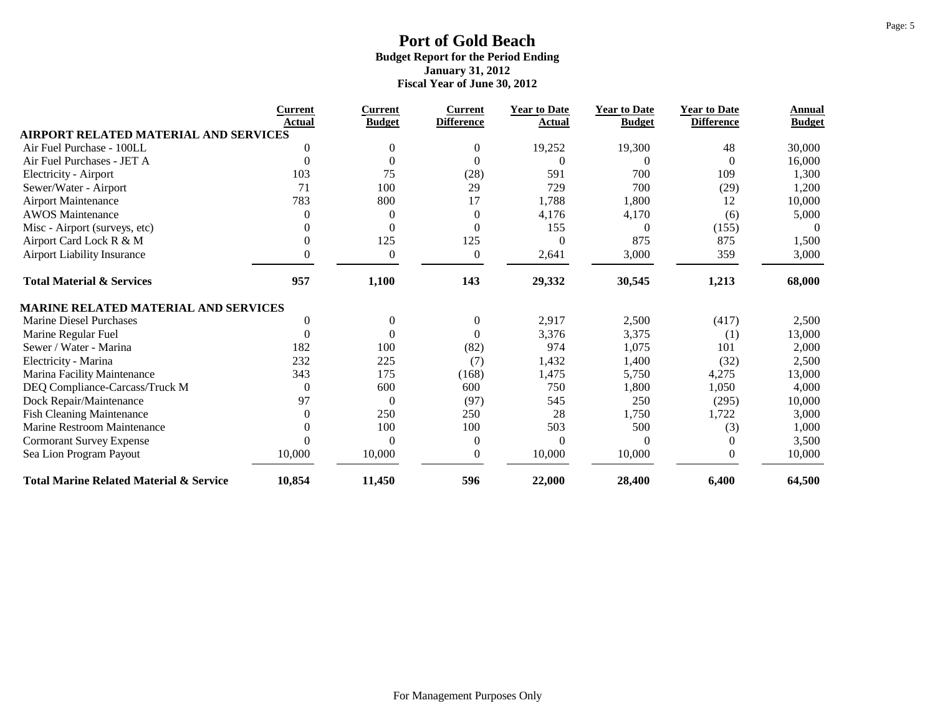|                                                    | <b>Current</b><br>Actual | <b>Current</b>   | <b>Current</b>    | <b>Year to Date</b> | <b>Year to Date</b> | <b>Year to Date</b> | Annual        |
|----------------------------------------------------|--------------------------|------------------|-------------------|---------------------|---------------------|---------------------|---------------|
| <b>AIRPORT RELATED MATERIAL AND SERVICES</b>       |                          | <b>Budget</b>    | <b>Difference</b> | Actual              | <b>Budget</b>       | <b>Difference</b>   | <b>Budget</b> |
| Air Fuel Purchase - 100LL                          | $\theta$                 | $\Omega$         | $\mathbf{0}$      | 19,252              | 19,300              | 48                  | 30,000        |
| Air Fuel Purchases - JET A                         | $\theta$                 | $\Omega$         | $\Omega$          | 0                   | 0                   | $\Omega$            | 16,000        |
| <b>Electricity - Airport</b>                       | 103                      | 75               | (28)              | 591                 | 700                 | 109                 | 1,300         |
| Sewer/Water - Airport                              | 71                       | 100              | 29                | 729                 | 700                 | (29)                | 1,200         |
| <b>Airport Maintenance</b>                         | 783                      | 800              | 17                | 1,788               | 1,800               | 12                  | 10,000        |
| <b>AWOS Maintenance</b>                            | $\theta$                 | $\theta$         | $\boldsymbol{0}$  | 4,176               | 4,170               | (6)                 | 5,000         |
| Misc - Airport (surveys, etc)                      | $\Omega$                 | $\theta$         | $\overline{0}$    | 155                 | $\Omega$            | (155)               | $\theta$      |
| Airport Card Lock R & M                            | $\theta$                 | 125              | 125               | $\theta$            | 875                 | 875                 | 1,500         |
| Airport Liability Insurance                        | $\Omega$                 | $\boldsymbol{0}$ | $\mathbf{0}$      | 2,641               | 3,000               | 359                 | 3,000         |
| <b>Total Material &amp; Services</b>               | 957                      | 1,100            | 143               | 29,332              | 30,545              | 1,213               | 68,000        |
| <b>MARINE RELATED MATERIAL AND SERVICES</b>        |                          |                  |                   |                     |                     |                     |               |
| Marine Diesel Purchases                            | $\Omega$                 | $\overline{0}$   | $\boldsymbol{0}$  | 2,917               | 2,500               | (417)               | 2,500         |
| Marine Regular Fuel                                | $\theta$                 | $\theta$         | $\mathbf{0}$      | 3,376               | 3,375               | (1)                 | 13,000        |
| Sewer / Water - Marina                             | 182                      | 100              | (82)              | 974                 | 1,075               | 101                 | 2,000         |
| Electricity - Marina                               | 232                      | 225              | (7)               | 1,432               | 1,400               | (32)                | 2,500         |
| Marina Facility Maintenance                        | 343                      | 175              | (168)             | 1,475               | 5,750               | 4,275               | 13,000        |
| DEQ Compliance-Carcass/Truck M                     | $\Omega$                 | 600              | 600               | 750                 | 1,800               | 1,050               | 4,000         |
| Dock Repair/Maintenance                            | 97                       | $\overline{0}$   | (97)              | 545                 | 250                 | (295)               | 10,000        |
| <b>Fish Cleaning Maintenance</b>                   | $\Omega$                 | 250              | 250               | 28                  | 1,750               | 1,722               | 3,000         |
| Marine Restroom Maintenance                        | 0                        | 100              | 100               | 503                 | 500                 | (3)                 | 1,000         |
| <b>Cormorant Survey Expense</b>                    | $\Omega$                 | $\Omega$         | $\mathbf{0}$      | $\Omega$            | 0                   | $\theta$            | 3,500         |
| Sea Lion Program Payout                            | 10,000                   | 10,000           | $\boldsymbol{0}$  | 10,000              | 10,000              | $\overline{0}$      | 10,000        |
| <b>Total Marine Related Material &amp; Service</b> | 10,854                   | 11,450           | 596               | 22,000              | 28,400              | 6,400               | 64,500        |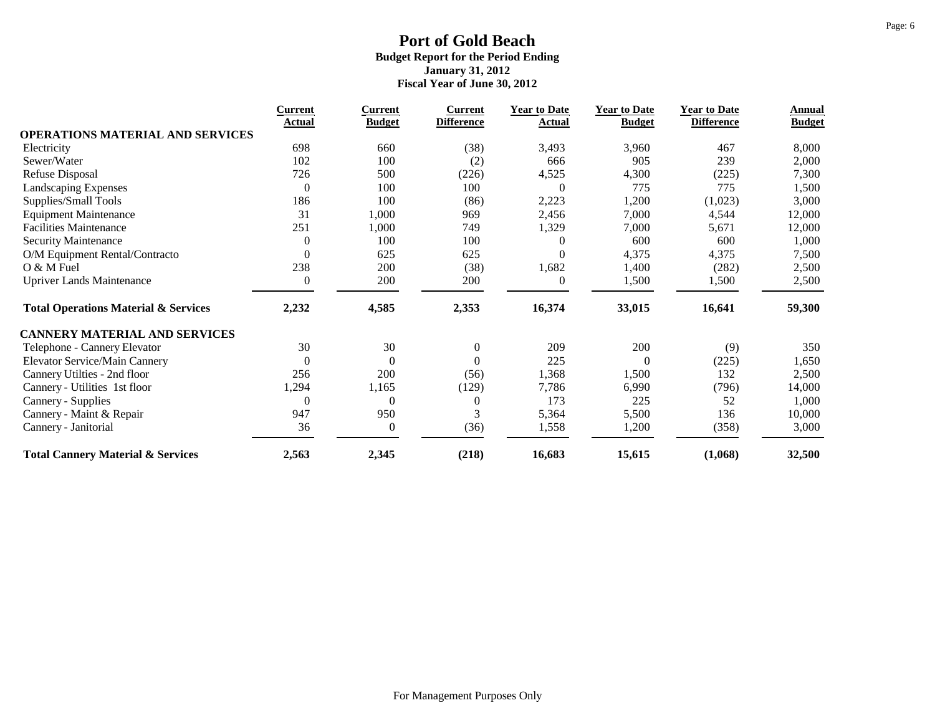|                                                 | <b>Current</b>   | Current          | <b>Current</b>    | <b>Year to Date</b> | <b>Year to Date</b> | <b>Year to Date</b> | Annual        |
|-------------------------------------------------|------------------|------------------|-------------------|---------------------|---------------------|---------------------|---------------|
| <b>OPERATIONS MATERIAL AND SERVICES</b>         | Actual           | <b>Budget</b>    | <b>Difference</b> | Actual              | <b>Budget</b>       | <b>Difference</b>   | <b>Budget</b> |
| Electricity                                     | 698              | 660              | (38)              | 3,493               | 3,960               | 467                 | 8,000         |
| Sewer/Water                                     | 102              | 100              | (2)               | 666                 | 905                 | 239                 | 2,000         |
| <b>Refuse Disposal</b>                          | 726              | 500              | (226)             | 4,525               | 4,300               | (225)               | 7,300         |
| Landscaping Expenses                            | $\boldsymbol{0}$ | 100              | 100               | $\boldsymbol{0}$    | 775                 | 775                 | 1,500         |
| Supplies/Small Tools                            | 186              | 100              | (86)              | 2,223               | 1,200               | (1,023)             | 3,000         |
| <b>Equipment Maintenance</b>                    | 31               | 1,000            | 969               | 2,456               | 7,000               | 4,544               | 12,000        |
| <b>Facilities Maintenance</b>                   | 251              | 1,000            | 749               | 1,329               | 7,000               | 5,671               | 12,000        |
| Security Maintenance                            | $\boldsymbol{0}$ | 100              | 100               | $\theta$            | 600                 | 600                 | 1,000         |
| O/M Equipment Rental/Contracto                  | $\overline{0}$   | 625              | 625               | $\theta$            | 4,375               | 4,375               | 7,500         |
| O & M Fuel                                      | 238              | 200              | (38)              | 1,682               | 1,400               | (282)               | 2,500         |
| <b>Upriver Lands Maintenance</b>                | $\theta$         | 200              | 200               | $\theta$            | 1,500               | 1,500               | 2,500         |
| <b>Total Operations Material &amp; Services</b> | 2,232            | 4,585            | 2,353             | 16,374              | 33,015              | 16,641              | 59,300        |
| <b>CANNERY MATERIAL AND SERVICES</b>            |                  |                  |                   |                     |                     |                     |               |
| Telephone - Cannery Elevator                    | 30               | 30               | $\boldsymbol{0}$  | 209                 | 200                 | (9)                 | 350           |
| <b>Elevator Service/Main Cannery</b>            | $\boldsymbol{0}$ | $\overline{0}$   | $\Omega$          | 225                 | $\Omega$            | (225)               | 1,650         |
| Cannery Utilties - 2nd floor                    | 256              | 200              | (56)              | 1,368               | 1,500               | 132                 | 2,500         |
| Cannery - Utilities 1st floor                   | 1,294            | 1,165            | (129)             | 7,786               | 6,990               | (796)               | 14,000        |
| Cannery - Supplies                              | $\theta$         | $\theta$         | $\theta$          | 173                 | 225                 | 52                  | 1,000         |
| Cannery - Maint & Repair                        | 947              | 950              | 3                 | 5,364               | 5,500               | 136                 | 10,000        |
| Cannery - Janitorial                            | 36               | $\boldsymbol{0}$ | (36)              | 1,558               | 1,200               | (358)               | 3,000         |
| <b>Total Cannery Material &amp; Services</b>    | 2,563            | 2,345            | (218)             | 16,683              | 15,615              | (1,068)             | 32,500        |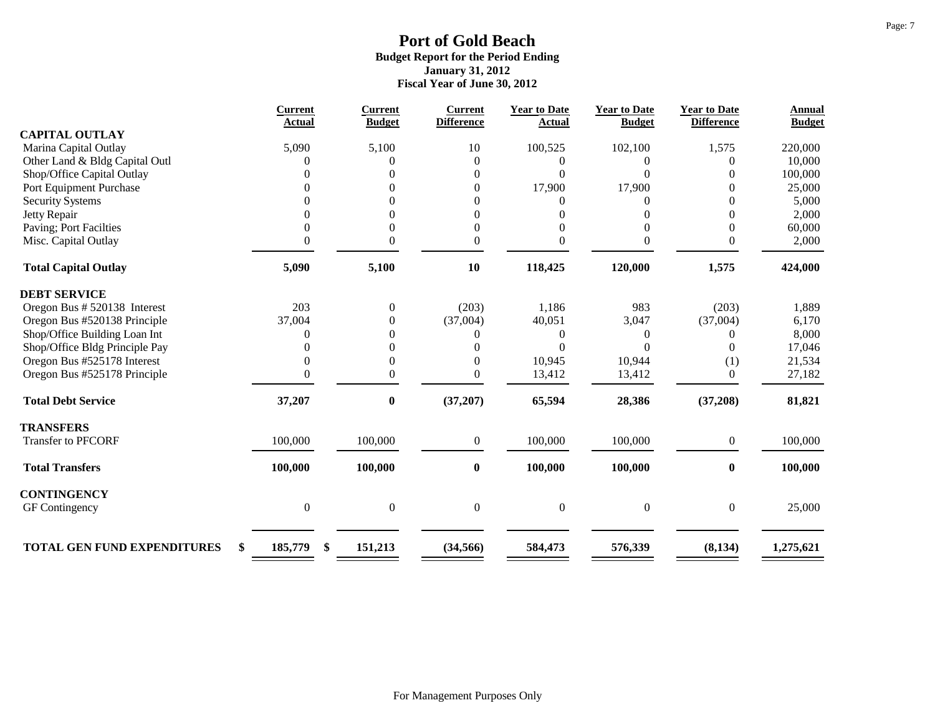|                                          | Current          | <b>Current</b>   | <b>Current</b>    | <b>Year to Date</b> | <b>Year to Date</b> | <b>Year to Date</b> | <b>Annual</b> |
|------------------------------------------|------------------|------------------|-------------------|---------------------|---------------------|---------------------|---------------|
| <b>CAPITAL OUTLAY</b>                    | <b>Actual</b>    | <b>Budget</b>    | <b>Difference</b> | Actual              | <b>Budget</b>       | <b>Difference</b>   | <b>Budget</b> |
| Marina Capital Outlay                    | 5,090            | 5,100            | 10                | 100,525             | 102,100             | 1,575               | 220,000       |
| Other Land & Bldg Capital Outl           |                  | 0                | $\overline{0}$    | 0                   |                     | 0                   | 10,000        |
| Shop/Office Capital Outlay               |                  |                  | $\overline{0}$    | $\Omega$            | 0                   | 0                   | 100,000       |
| Port Equipment Purchase                  |                  |                  | $\overline{0}$    | 17,900              | 17,900              | 0                   | 25,000        |
| <b>Security Systems</b>                  |                  |                  | $\overline{0}$    | 0                   | 0                   | $\overline{0}$      | 5,000         |
| Jetty Repair                             |                  |                  | $\boldsymbol{0}$  |                     | 0                   | $\theta$            | 2,000         |
| Paving; Port Facilties                   |                  | 0                | $\boldsymbol{0}$  |                     | 0                   | $\theta$            | 60,000        |
| Misc. Capital Outlay                     | 0                | 0                | $\mathbf{0}$      | 0                   | 0                   | 0                   | 2,000         |
|                                          |                  |                  |                   |                     |                     |                     |               |
| <b>Total Capital Outlay</b>              | 5,090            | 5,100            | 10                | 118,425             | 120,000             | 1,575               | 424,000       |
| <b>DEBT SERVICE</b>                      |                  |                  |                   |                     |                     |                     |               |
| Oregon Bus # 520138 Interest             | 203              | $\boldsymbol{0}$ | (203)             | 1,186               | 983                 | (203)               | 1,889         |
| Oregon Bus #520138 Principle             | 37,004           | 0                | (37,004)          | 40,051              | 3,047               | (37,004)            | 6,170         |
| Shop/Office Building Loan Int            | $\Omega$         | 0                | 0                 | $\overline{0}$      | 0                   | 0                   | 8,000         |
| Shop/Office Bldg Principle Pay           |                  | 0                | $\Omega$          | $\Omega$            | 0                   | $\Omega$            | 17,046        |
| Oregon Bus #525178 Interest              |                  | 0                | $\theta$          | 10,945              | 10,944              | (1)                 | 21,534        |
| Oregon Bus #525178 Principle             | 0                | $\overline{0}$   | $\overline{0}$    | 13,412              | 13,412              | $\overline{0}$      | 27,182        |
| <b>Total Debt Service</b>                | 37,207           | $\bf{0}$         | (37, 207)         | 65,594              | 28,386              | (37,208)            | 81,821        |
| <b>TRANSFERS</b>                         |                  |                  |                   |                     |                     |                     |               |
| Transfer to PFCORF                       | 100,000          | 100,000          | $\boldsymbol{0}$  | 100,000             | 100,000             | $\boldsymbol{0}$    | 100,000       |
| <b>Total Transfers</b>                   | 100,000          | 100,000          | $\bf{0}$          | 100,000             | 100,000             | $\bf{0}$            | 100,000       |
| <b>CONTINGENCY</b>                       |                  |                  |                   |                     |                     |                     |               |
| GF Contingency                           | $\boldsymbol{0}$ | $\boldsymbol{0}$ | $\boldsymbol{0}$  | $\boldsymbol{0}$    | $\boldsymbol{0}$    | $\boldsymbol{0}$    | 25,000        |
|                                          |                  |                  |                   |                     |                     |                     |               |
| <b>TOTAL GEN FUND EXPENDITURES</b><br>\$ | 185,779<br>\$    | 151,213          | (34, 566)         | 584,473             | 576,339             | (8, 134)            | 1,275,621     |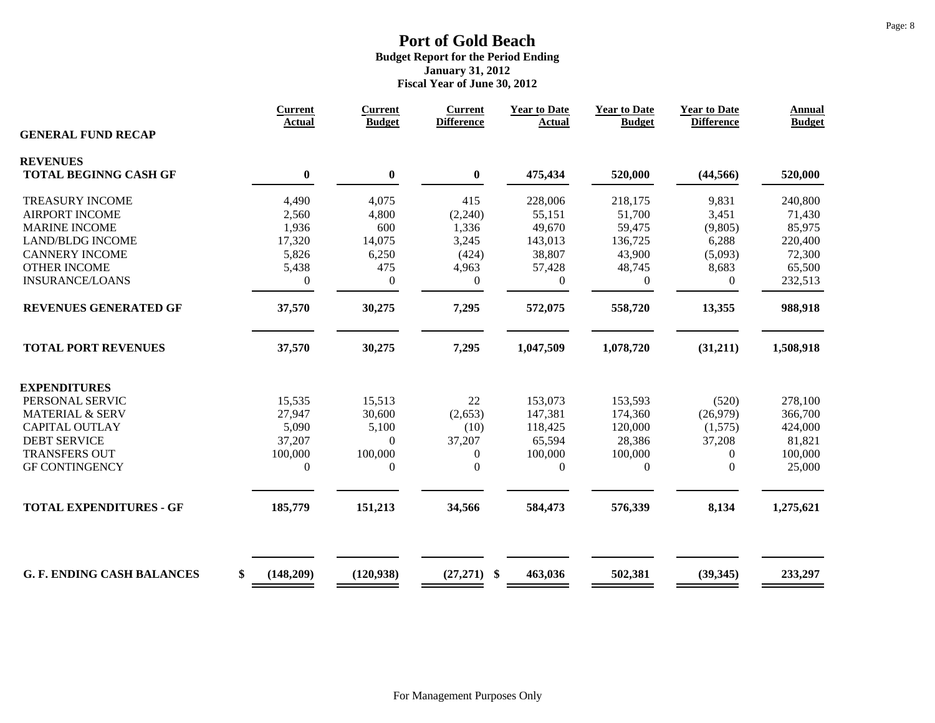|                                   | <b>Current</b><br><b>Actual</b> | <b>Current</b><br><b>Budget</b> | <b>Current</b><br><b>Difference</b> | <b>Year to Date</b><br><b>Actual</b> | <b>Year to Date</b><br><b>Budget</b> | <b>Year to Date</b><br><b>Difference</b> | <b>Annual</b><br><b>Budget</b> |
|-----------------------------------|---------------------------------|---------------------------------|-------------------------------------|--------------------------------------|--------------------------------------|------------------------------------------|--------------------------------|
| <b>GENERAL FUND RECAP</b>         |                                 |                                 |                                     |                                      |                                      |                                          |                                |
| <b>REVENUES</b>                   |                                 |                                 |                                     |                                      |                                      |                                          |                                |
| <b>TOTAL BEGINNG CASH GF</b>      | $\boldsymbol{0}$                | $\boldsymbol{0}$                | $\bf{0}$                            | 475,434                              | 520,000                              | (44, 566)                                | 520,000                        |
| <b>TREASURY INCOME</b>            | 4,490                           | 4,075                           | 415                                 | 228,006                              | 218,175                              | 9,831                                    | 240,800                        |
| <b>AIRPORT INCOME</b>             | 2,560                           | 4,800                           | (2,240)                             | 55,151                               | 51,700                               | 3,451                                    | 71,430                         |
| <b>MARINE INCOME</b>              | 1,936                           | 600                             | 1,336                               | 49,670                               | 59,475                               | (9, 805)                                 | 85,975                         |
| <b>LAND/BLDG INCOME</b>           | 17,320                          | 14,075                          | 3,245                               | 143,013                              | 136,725                              | 6,288                                    | 220,400                        |
| <b>CANNERY INCOME</b>             | 5,826                           | 6,250                           | (424)                               | 38,807                               | 43,900                               | (5,093)                                  | 72,300                         |
| <b>OTHER INCOME</b>               | 5,438                           | 475                             | 4,963                               | 57,428                               | 48,745                               | 8,683                                    | 65,500                         |
| <b>INSURANCE/LOANS</b>            | $\overline{0}$                  | $\mathbf{0}$                    | $\mathbf{0}$                        | $\mathbf{0}$                         | $\overline{0}$                       | $\overline{0}$                           | 232,513                        |
| <b>REVENUES GENERATED GF</b>      | 37,570                          | 30,275                          | 7,295                               | 572,075                              | 558,720                              | 13,355                                   | 988,918                        |
| <b>TOTAL PORT REVENUES</b>        | 37,570                          | 30,275                          | 7,295                               | 1,047,509                            | 1,078,720                            | (31,211)                                 | 1,508,918                      |
| <b>EXPENDITURES</b>               |                                 |                                 |                                     |                                      |                                      |                                          |                                |
| PERSONAL SERVIC                   | 15,535                          | 15,513                          | 22                                  | 153,073                              | 153,593                              | (520)                                    | 278,100                        |
| <b>MATERIAL &amp; SERV</b>        | 27,947                          | 30,600                          | (2,653)                             | 147,381                              | 174,360                              | (26,979)                                 | 366,700                        |
| <b>CAPITAL OUTLAY</b>             | 5,090                           | 5,100                           | (10)                                | 118,425                              | 120,000                              | (1,575)                                  | 424,000                        |
| <b>DEBT SERVICE</b>               | 37,207                          | $\mathbf{0}$                    | 37,207                              | 65,594                               | 28,386                               | 37,208                                   | 81,821                         |
| <b>TRANSFERS OUT</b>              | 100,000                         | 100,000                         | $\boldsymbol{0}$                    | 100,000                              | 100,000                              | $\theta$                                 | 100,000                        |
| <b>GF CONTINGENCY</b>             | $\boldsymbol{0}$                | $\boldsymbol{0}$                | $\boldsymbol{0}$                    | $\boldsymbol{0}$                     | $\boldsymbol{0}$                     | $\mathbf{0}$                             | 25,000                         |
|                                   |                                 |                                 |                                     |                                      |                                      |                                          |                                |
| <b>TOTAL EXPENDITURES - GF</b>    | 185,779                         | 151,213                         | 34,566                              | 584,473                              | 576,339                              | 8,134                                    | 1,275,621                      |
| <b>G. F. ENDING CASH BALANCES</b> | \$<br>(148,209)                 | (120, 938)                      | $(27,271)$ \$                       | 463,036                              | 502,381                              | (39, 345)                                | 233,297                        |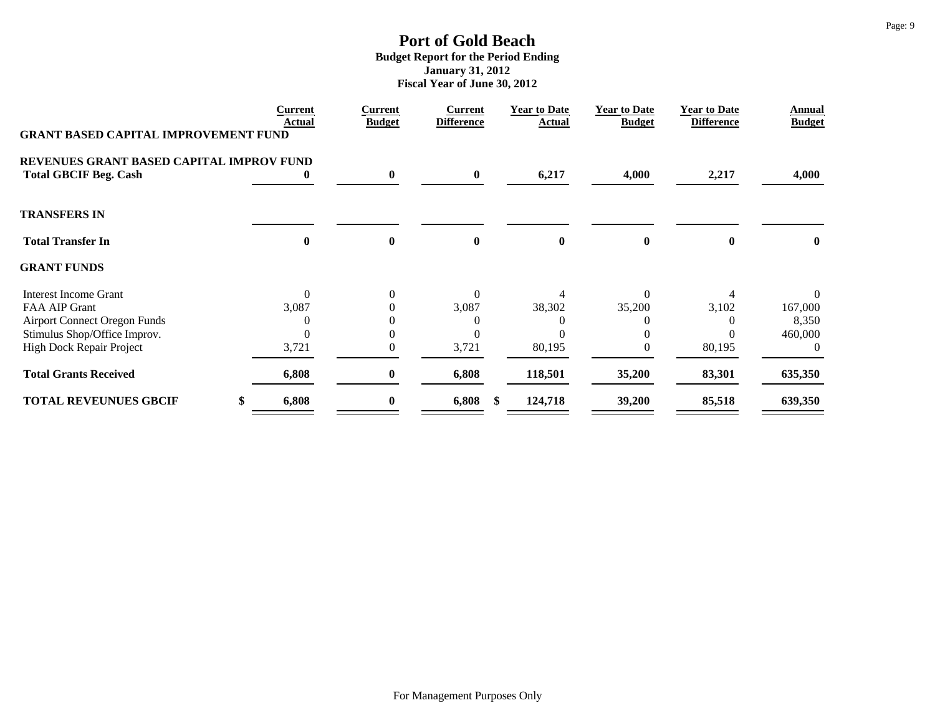|                                                                          | <b>Current</b><br>Actual | <b>Current</b><br><b>Budget</b> | <b>Current</b><br><b>Difference</b> | <b>Year to Date</b><br><b>Actual</b> | <b>Year to Date</b><br><b>Budget</b> | <b>Year to Date</b><br><b>Difference</b> | Annual<br><b>Budget</b> |
|--------------------------------------------------------------------------|--------------------------|---------------------------------|-------------------------------------|--------------------------------------|--------------------------------------|------------------------------------------|-------------------------|
| <b>GRANT BASED CAPITAL IMPROVEMENT FUND</b>                              |                          |                                 |                                     |                                      |                                      |                                          |                         |
| REVENUES GRANT BASED CAPITAL IMPROV FUND<br><b>Total GBCIF Beg. Cash</b> | $\bf{0}$                 | $\bf{0}$                        | $\bf{0}$                            | 6,217                                | 4,000                                | 2,217                                    | 4,000                   |
| <b>TRANSFERS IN</b>                                                      |                          |                                 |                                     |                                      |                                      |                                          |                         |
| <b>Total Transfer In</b>                                                 | $\bf{0}$                 | $\bf{0}$                        | $\bf{0}$                            | $\bf{0}$                             | $\mathbf{0}$                         | 0                                        | $\mathbf{0}$            |
| <b>GRANT FUNDS</b>                                                       |                          |                                 |                                     |                                      |                                      |                                          |                         |
| Interest Income Grant                                                    | $\theta$                 | $\theta$                        | $\Omega$                            |                                      | 0                                    |                                          | $\Omega$                |
| FAA AIP Grant                                                            | 3,087                    | 0                               | 3,087                               | 38,302                               | 35,200                               | 3,102                                    | 167,000                 |
| <b>Airport Connect Oregon Funds</b>                                      |                          |                                 |                                     |                                      |                                      |                                          | 8,350                   |
| Stimulus Shop/Office Improv.                                             |                          | 0                               |                                     |                                      |                                      |                                          | 460,000                 |
| High Dock Repair Project                                                 | 3,721                    | 0                               | 3,721                               | 80,195                               |                                      | 80,195                                   |                         |
| <b>Total Grants Received</b>                                             | 6,808                    | $\bf{0}$                        | 6,808                               | 118,501                              | 35,200                               | 83,301                                   | 635,350                 |
| <b>TOTAL REVEUNUES GBCIF</b>                                             | 6,808<br>\$              | $\bf{0}$                        | 6,808<br>-S                         | 124,718                              | 39,200                               | 85,518                                   | 639,350                 |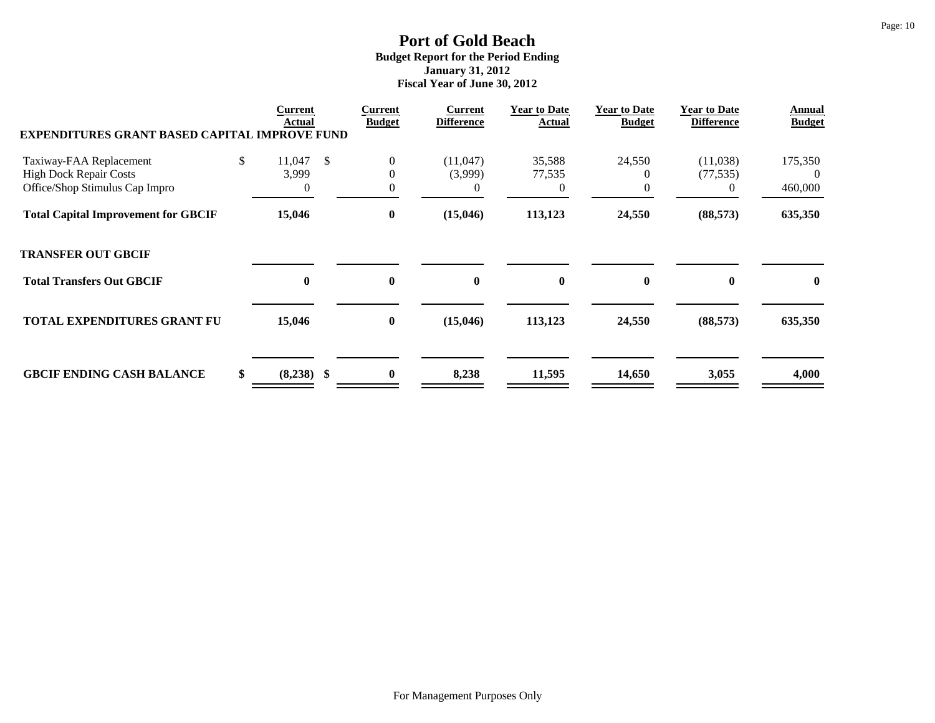| <b>EXPENDITURES GRANT BASED CAPITAL IMPROVE FUND</b> | Current<br>Actual  |               | Current<br><b>Budget</b> | <b>Current</b><br><b>Difference</b> | <b>Year to Date</b><br>Actual | <b>Year to Date</b><br><b>Budget</b> | <b>Year to Date</b><br><b>Difference</b> | Annual<br><b>Budget</b> |
|------------------------------------------------------|--------------------|---------------|--------------------------|-------------------------------------|-------------------------------|--------------------------------------|------------------------------------------|-------------------------|
| Taxiway-FAA Replacement                              | \$<br>11,047       | $\mathcal{S}$ | $\boldsymbol{0}$         | (11,047)                            | 35,588                        | 24,550                               | (11,038)                                 | 175,350                 |
| <b>High Dock Repair Costs</b>                        | 3,999              |               | $\overline{0}$           | (3,999)                             | 77,535                        |                                      | (77, 535)                                | $\Omega$                |
| Office/Shop Stimulus Cap Impro                       | $\theta$           |               | $\mathbf{0}$             | $\overline{0}$                      | 0                             |                                      | $\theta$                                 | 460,000                 |
| <b>Total Capital Improvement for GBCIF</b>           | 15,046             |               | $\boldsymbol{0}$         | (15, 046)                           | 113,123                       | 24,550                               | (88, 573)                                | 635,350                 |
| <b>TRANSFER OUT GBCIF</b>                            |                    |               |                          |                                     |                               |                                      |                                          |                         |
| <b>Total Transfers Out GBCIF</b>                     | 0                  |               | $\bf{0}$                 | $\bf{0}$                            | $\bf{0}$                      | $\bf{0}$                             | $\mathbf{0}$                             | $\bf{0}$                |
| <b>TOTAL EXPENDITURES GRANT FU</b>                   | 15,046             |               | $\bf{0}$                 | (15,046)                            | 113,123                       | 24,550                               | (88, 573)                                | 635,350                 |
| <b>GBCIF ENDING CASH BALANCE</b>                     | \$<br>$(8,238)$ \$ |               | $\bf{0}$                 | 8,238                               | 11,595                        | 14,650                               | 3,055                                    | 4,000                   |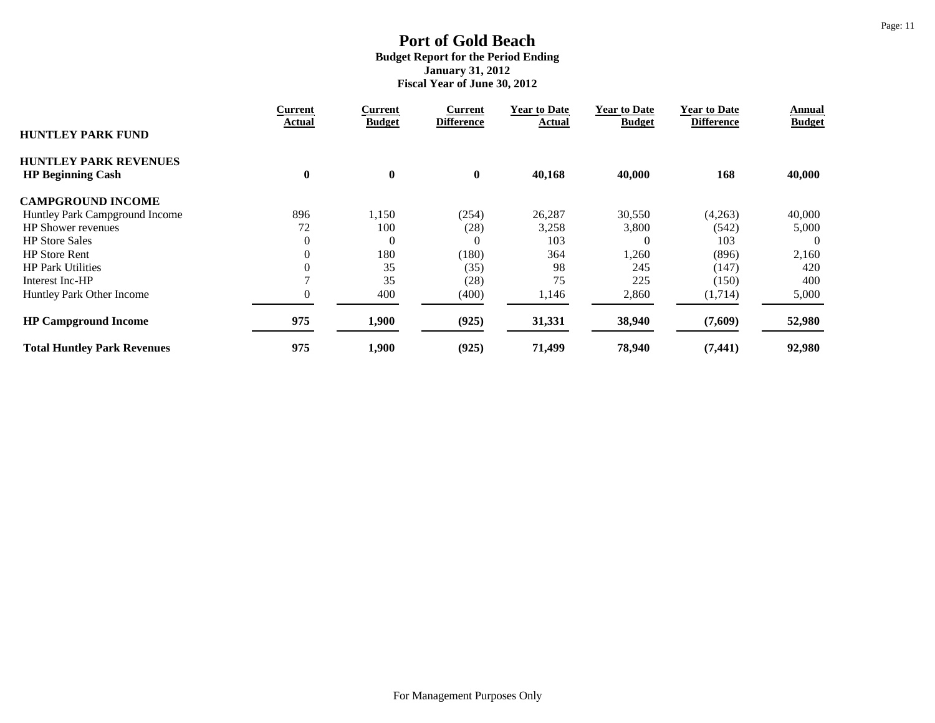|                                    | <b>Current</b> | Current          | Current           | <b>Year to Date</b> | <b>Year to Date</b> | <b>Year to Date</b> | Annual        |
|------------------------------------|----------------|------------------|-------------------|---------------------|---------------------|---------------------|---------------|
| <b>HUNTLEY PARK FUND</b>           | Actual         | <b>Budget</b>    | <b>Difference</b> | Actual              | <b>Budget</b>       | <b>Difference</b>   | <b>Budget</b> |
| <b>HUNTLEY PARK REVENUES</b>       |                |                  |                   |                     |                     |                     |               |
| <b>HP Beginning Cash</b>           | $\bf{0}$       | $\boldsymbol{0}$ | $\bf{0}$          | 40,168              | 40,000              | 168                 | 40,000        |
| <b>CAMPGROUND INCOME</b>           |                |                  |                   |                     |                     |                     |               |
| Huntley Park Campground Income     | 896            | 1,150            | (254)             | 26,287              | 30,550              | (4,263)             | 40,000        |
| <b>HP</b> Shower revenues          | 72             | 100              | (28)              | 3,258               | 3,800               | (542)               | 5,000         |
| <b>HP</b> Store Sales              | $\theta$       | $\overline{0}$   | $\Omega$          | 103                 | 0                   | 103                 | -0            |
| <b>HP Store Rent</b>               | $\theta$       | 180              | (180)             | 364                 | 1,260               | (896)               | 2,160         |
| <b>HP Park Utilities</b>           |                | 35               | (35)              | 98                  | 245                 | (147)               | 420           |
| Interest Inc-HP                    |                | 35               | (28)              | 75                  | 225                 | (150)               | 400           |
| Huntley Park Other Income          |                | 400              | (400)             | 1,146               | 2,860               | (1,714)             | 5,000         |
| <b>HP Campground Income</b>        | 975            | 1,900            | (925)             | 31,331              | 38,940              | (7,609)             | 52,980        |
| <b>Total Huntley Park Revenues</b> | 975            | 1,900            | (925)             | 71,499              | 78,940              | (7, 441)            | 92,980        |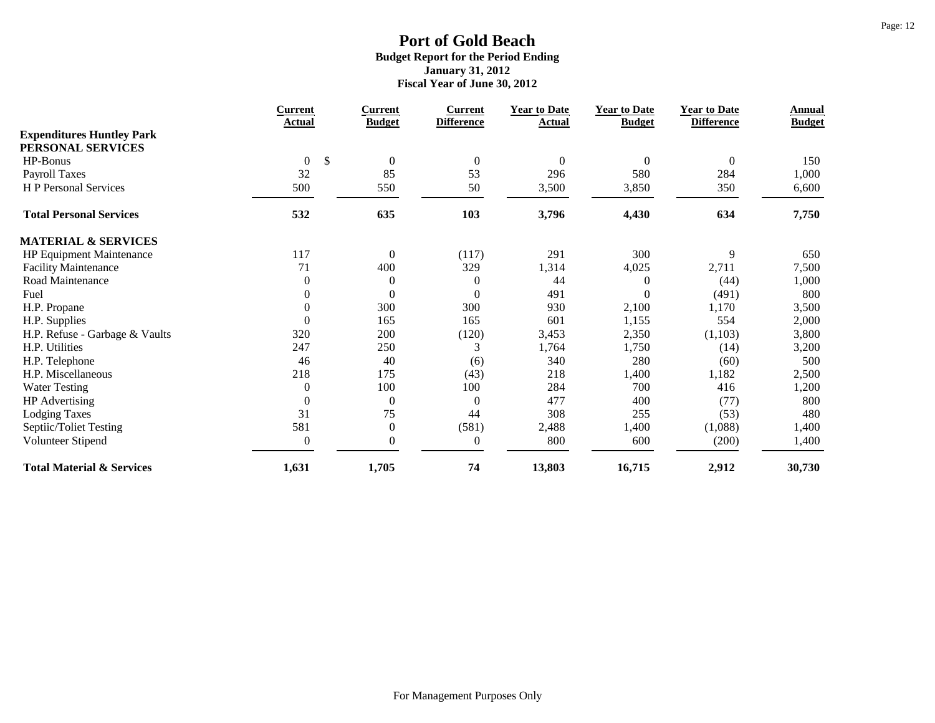|                                      | Current              | <b>Current</b>   | <b>Current</b>    | <b>Year to Date</b> | <b>Year to Date</b> | <b>Year to Date</b> | Annual        |
|--------------------------------------|----------------------|------------------|-------------------|---------------------|---------------------|---------------------|---------------|
| <b>Expenditures Huntley Park</b>     | Actual               | <b>Budget</b>    | <b>Difference</b> | Actual              | <b>Budget</b>       | <b>Difference</b>   | <b>Budget</b> |
| PERSONAL SERVICES                    |                      |                  |                   |                     |                     |                     |               |
| HP-Bonus                             | \$<br>$\overline{0}$ | $\boldsymbol{0}$ | $\boldsymbol{0}$  | 0                   | $\mathbf{0}$        | $\overline{0}$      | 150           |
| <b>Payroll Taxes</b>                 | 32                   | 85               | 53                | 296                 | 580                 | 284                 | 1,000         |
| <b>H</b> P Personal Services         | 500                  | 550              | 50                | 3,500               | 3,850               | 350                 | 6,600         |
| <b>Total Personal Services</b>       | 532                  | 635              | 103               | 3,796               | 4,430               | 634                 | 7,750         |
| <b>MATERIAL &amp; SERVICES</b>       |                      |                  |                   |                     |                     |                     |               |
| <b>HP Equipment Maintenance</b>      | 117                  | $\boldsymbol{0}$ | (117)             | 291                 | 300                 | 9                   | 650           |
| <b>Facility Maintenance</b>          | 71                   | 400              | 329               | 1,314               | 4,025               | 2,711               | 7,500         |
| Road Maintenance                     | $\boldsymbol{0}$     | $\boldsymbol{0}$ | $\mathbf{0}$      | 44                  | $\theta$            | (44)                | 1,000         |
| Fuel                                 | $\boldsymbol{0}$     | $\boldsymbol{0}$ | $\boldsymbol{0}$  | 491                 | $\Omega$            | (491)               | 800           |
| H.P. Propane                         | $\boldsymbol{0}$     | 300              | 300               | 930                 | 2,100               | 1,170               | 3,500         |
| H.P. Supplies                        | $\boldsymbol{0}$     | 165              | 165               | 601                 | 1,155               | 554                 | 2,000         |
| H.P. Refuse - Garbage & Vaults       | 320                  | 200              | (120)             | 3,453               | 2,350               | (1,103)             | 3,800         |
| H.P. Utilities                       | 247                  | 250              | 3                 | 1,764               | 1,750               | (14)                | 3,200         |
| H.P. Telephone                       | 46                   | 40               | (6)               | 340                 | 280                 | (60)                | 500           |
| H.P. Miscellaneous                   | 218                  | 175              | (43)              | 218                 | 1,400               | 1,182               | 2,500         |
| <b>Water Testing</b>                 | $\boldsymbol{0}$     | 100              | 100               | 284                 | 700                 | 416                 | 1,200         |
| HP Advertising                       | $\boldsymbol{0}$     | $\boldsymbol{0}$ | $\boldsymbol{0}$  | 477                 | 400                 | (77)                | 800           |
| <b>Lodging Taxes</b>                 | 31                   | 75               | 44                | 308                 | 255                 | (53)                | 480           |
| Septiic/Toliet Testing               | 581                  | $\boldsymbol{0}$ | (581)             | 2,488               | 1,400               | (1,088)             | 1,400         |
| Volunteer Stipend                    | $\boldsymbol{0}$     | $\boldsymbol{0}$ | $\boldsymbol{0}$  | 800                 | 600                 | (200)               | 1,400         |
| <b>Total Material &amp; Services</b> | 1,631                | 1,705            | 74                | 13,803              | 16,715              | 2,912               | 30,730        |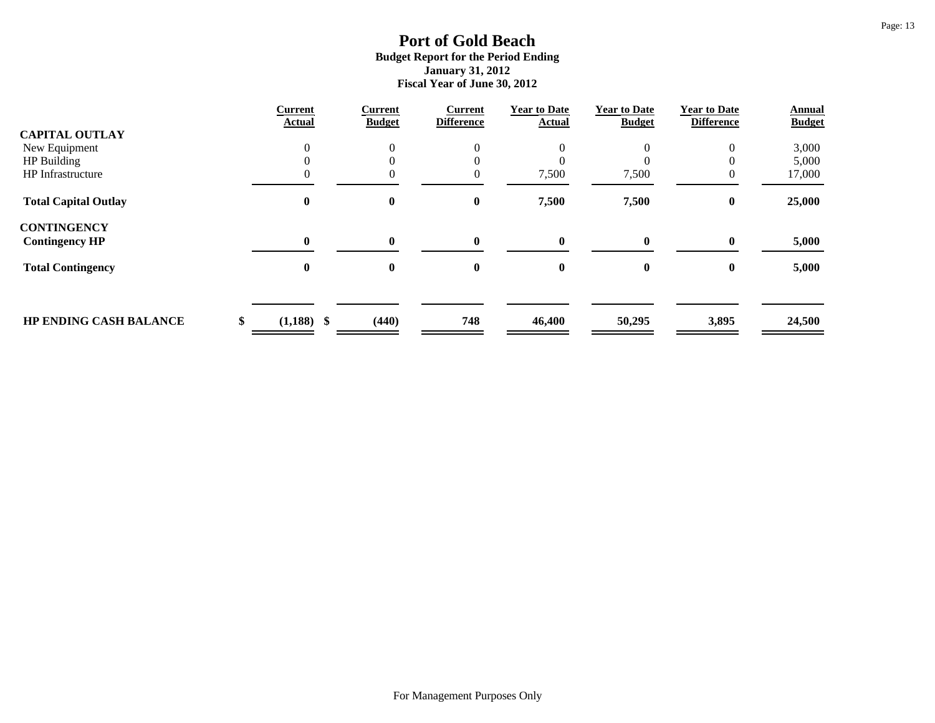|                               | <b>Current</b><br>Actual | <b>Current</b><br><b>Budget</b> | <b>Current</b><br><b>Difference</b> | <b>Year to Date</b><br><b>Actual</b> | <b>Year to Date</b><br><b>Budget</b> | <b>Year to Date</b><br><b>Difference</b> | Annual<br><b>Budget</b> |
|-------------------------------|--------------------------|---------------------------------|-------------------------------------|--------------------------------------|--------------------------------------|------------------------------------------|-------------------------|
| <b>CAPITAL OUTLAY</b>         |                          |                                 |                                     |                                      |                                      |                                          |                         |
| New Equipment                 |                          | $\Omega$                        | $\overline{0}$                      |                                      |                                      | $\mathbf{0}$                             | 3,000                   |
| HP Building                   |                          |                                 | $\theta$                            |                                      |                                      |                                          | 5,000                   |
| HP Infrastructure             |                          |                                 | $\mathbf{0}$                        | 7,500                                | 7,500                                |                                          | 17,000                  |
| <b>Total Capital Outlay</b>   | 0                        | $\boldsymbol{0}$                | $\bf{0}$                            | 7,500                                | 7,500                                | $\bf{0}$                                 | 25,000                  |
| <b>CONTINGENCY</b>            |                          |                                 |                                     |                                      |                                      |                                          |                         |
| <b>Contingency HP</b>         | 0                        | $\mathbf{0}$                    | $\mathbf{0}$                        | 0                                    | $\mathbf{0}$                         | $\mathbf{0}$                             | 5,000                   |
| <b>Total Contingency</b>      | 0                        | $\bf{0}$                        | 0                                   | 0                                    | $\bf{0}$                             | $\mathbf{0}$                             | 5,000                   |
|                               |                          |                                 |                                     |                                      |                                      |                                          |                         |
| <b>HP ENDING CASH BALANCE</b> | $(1,188)$ \$             | (440)                           | 748                                 | 46,400                               | 50,295                               | 3,895                                    | 24,500                  |